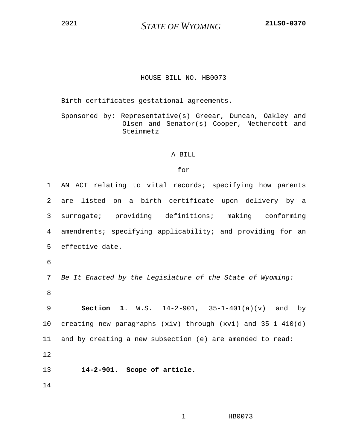<sup>2021</sup> *STATE OF WYOMING* **21LSO-0370**

## HOUSE BILL NO. HB0073

Birth certificates-gestational agreements.

Sponsored by: Representative(s) Greear, Duncan, Oakley and Olsen and Senator(s) Cooper, Nethercott and Steinmetz

## A BILL

## for

1 AN ACT relating to vital records; specifying how parents 2 are listed on a birth certificate upon delivery by a 3 surrogate; providing definitions; making conforming 4 amendments; specifying applicability; and providing for an 5 effective date. 6 7 *Be It Enacted by the Legislature of the State of Wyoming:* 8 9 **Section 1**. W.S. 14-2-901, 35-1-401(a)(v) and by 10 creating new paragraphs (xiv) through (xvi) and 35-1-410(d) 11 and by creating a new subsection (e) are amended to read: 12 13 **14-2-901. Scope of article.** 14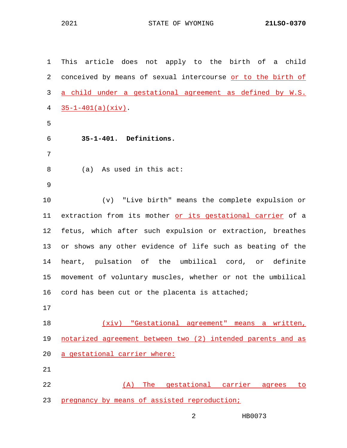1 This article does not apply to the birth of a child 2 conceived by means of sexual intercourse or to the birth of 3 a child under a gestational agreement as defined by W.S.  $4 \frac{35-1-401(a)(xiv)}$ . 5 6 **35-1-401. Definitions.** 7 8 (a) As used in this act: 9 10 (v) "Live birth" means the complete expulsion or 11 extraction from its mother or its gestational carrier of a 12 fetus, which after such expulsion or extraction, breathes 13 or shows any other evidence of life such as beating of the 14 heart, pulsation of the umbilical cord, or definite 15 movement of voluntary muscles, whether or not the umbilical 16 cord has been cut or the placenta is attached; 17 18 (xiv) "Gestational agreement" means a written, 19 notarized agreement between two (2) intended parents and as 20 a gestational carrier where: 21 22 (A) The gestational carrier agrees to 23 pregnancy by means of assisted reproduction;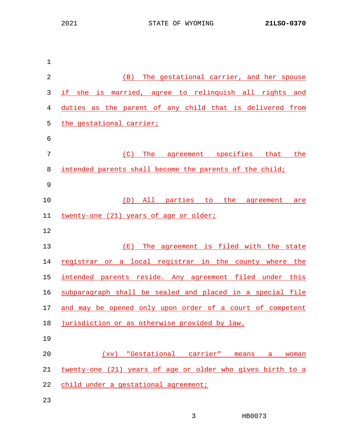| $1\,$          |                                                            |  |  |  |  |
|----------------|------------------------------------------------------------|--|--|--|--|
| $\sqrt{2}$     | (B) The gestational carrier, and her spouse                |  |  |  |  |
| $\mathfrak{Z}$ | if she is married, agree to relinquish all rights and      |  |  |  |  |
| 4              | duties as the parent of any child that is delivered from   |  |  |  |  |
| 5              | the gestational carrier;                                   |  |  |  |  |
| 6              |                                                            |  |  |  |  |
| 7              | (C)<br>The agreement specifies that the                    |  |  |  |  |
| 8              | intended parents shall become the parents of the child;    |  |  |  |  |
| $\mathsf 9$    |                                                            |  |  |  |  |
| 10             | (D) All parties to the agreement are                       |  |  |  |  |
| 11             | twenty-one (21) years of age or older;                     |  |  |  |  |
| 12             |                                                            |  |  |  |  |
| 13             | The agreement is filed with the state<br>( $E$ )           |  |  |  |  |
| 14             | registrar or a local registrar in the county where the     |  |  |  |  |
| 15             | intended parents reside. Any agreement filed under this    |  |  |  |  |
| 16             | subparagraph shall be sealed and placed in a special file  |  |  |  |  |
| 17             | and may be opened only upon order of a court of competent  |  |  |  |  |
| 18             | jurisdiction or as otherwise provided by law.              |  |  |  |  |
| 19             |                                                            |  |  |  |  |
| 20             | (xv) "Gestational carrier" means<br>a a<br>woman           |  |  |  |  |
| 21             | twenty-one (21) years of age or older who gives birth to a |  |  |  |  |
| 22             | child under a gestational agreement;                       |  |  |  |  |
| 23             |                                                            |  |  |  |  |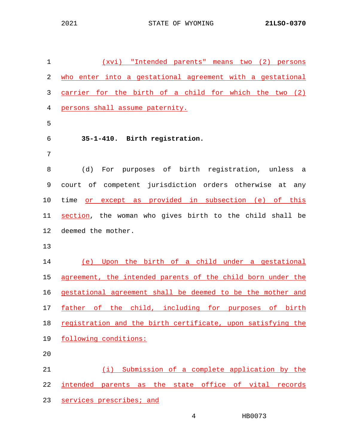| $\mathbf{1}$ | (xvi) "Intended parents" means two (2) persons              |
|--------------|-------------------------------------------------------------|
| 2            | who enter into a gestational agreement with a gestational   |
| 3            | carrier for the birth of a child for which the two (2)      |
| 4            | persons shall assume paternity.                             |
| 5            |                                                             |
| 6            | 35-1-410. Birth registration.                               |
| 7            |                                                             |
| 8            | For purposes of birth registration, unless<br>(d)<br>a      |
| 9            | court of competent jurisdiction orders otherwise at any     |
| 10           | time<br>or except as provided in subsection (e) of this     |
| 11           | section, the woman who gives birth to the child shall be    |
| 12           | deemed the mother.                                          |
| 13           |                                                             |
| 14           | (e) Upon the birth of a child under a gestational           |
| 15           | agreement, the intended parents of the child born under the |
| 16           | gestational agreement shall be deemed to be the mother and  |
| 17           | father of the child, including for purposes of birth        |
| 18           | registration and the birth certificate, upon satisfying the |
| 19           | following conditions:                                       |
| 20           |                                                             |
| 21           | (i) Submission of a complete application by the             |
| 22           | intended parents as the state office of vital records       |
| 23           | services prescribes; and                                    |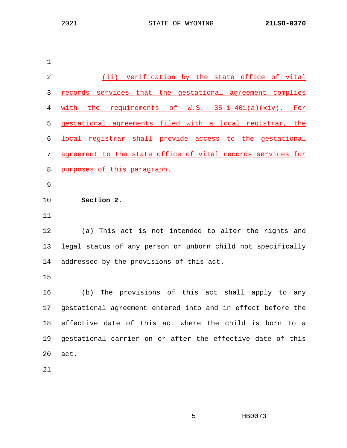(ii) Verification by the state office of vital records services that the gestational agreement complies with the requirements of W.S. 35-1-401(a)(xiv). For gestational agreements filed with a local registrar, the local registrar shall provide access to the gestational agreement to the state office of vital records services for purposes of this paragraph. **Section 2**. 12 (a) This act is not intended to alter the rights and 13 legal status of any person or unborn child not specifically 14 addressed by the provisions of this act. 16 (b) The provisions of this act shall apply to any 17 gestational agreement entered into and in effect before the 18 effective date of this act where the child is born to a 19 gestational carrier on or after the effective date of this 20 act.